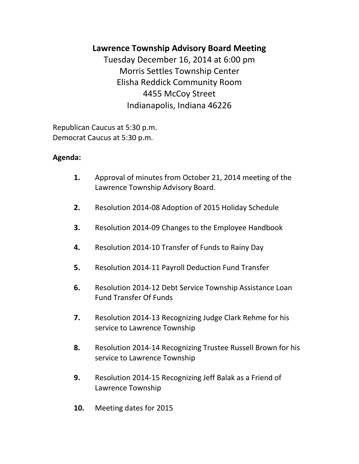# **Lawrence Township Advisory Board Meeting**

Tuesday December 16, 2014 at 6:00 pm Morris Settles Township Center Elisha Reddick Community Room 4455 McCoy Street Indianapolis, Indiana 46226

Republican Caucus at 5:30 p.m. Democrat Caucus at 5:30 p.m.

## **Agenda:**

- **1.** Approval of minutes from October 21, 2014 meeting of the Lawrence Township Advisory Board.
- **2.** Resolution 2014-08 Adoption of 2015 Holiday Schedule
- **3.** Resolution 2014-09 Changes to the Employee Handbook
- **4.** Resolution 2014-10 Transfer of Funds to Rainy Day
- **5.** Resolution 2014-11 Payroll Deduction Fund Transfer
- **6.** Resolution 2014-12 Debt Service Township Assistance Loan Fund Transfer Of Funds
- **7.** Resolution 2014-13 Recognizing Judge Clark Rehme for his service to Lawrence Township
- **8.** Resolution 2014-14 Recognizing Trustee Russell Brown for his service to Lawrence Township
- **9.** Resolution 2014-15 Recognizing Jeff Balak as a Friend of Lawrence Township
- **10.** Meeting dates for 2015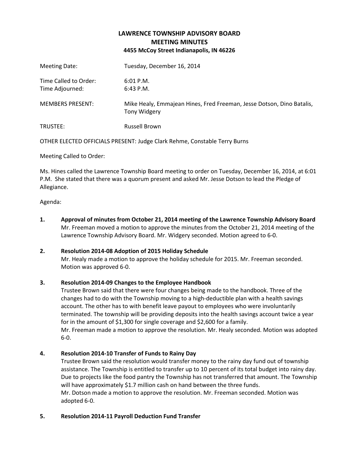### **LAWRENCE TOWNSHIP ADVISORY BOARD MEETING MINUTES 4455 McCoy Street Indianapolis, IN 46226**

| Meeting Date:                            | Tuesday, December 16, 2014                                                            |
|------------------------------------------|---------------------------------------------------------------------------------------|
| Time Called to Order:<br>Time Adjourned: | $6:01$ P.M.<br>$6:43$ P.M.                                                            |
| <b>MEMBERS PRESENT:</b>                  | Mike Healy, Emmajean Hines, Fred Freeman, Jesse Dotson, Dino Batalis,<br>Tony Widgery |
| TRUSTEE:                                 | <b>Russell Brown</b>                                                                  |

OTHER ELECTED OFFICIALS PRESENT: Judge Clark Rehme, Constable Terry Burns

Meeting Called to Order:

Ms. Hines called the Lawrence Township Board meeting to order on Tuesday, December 16, 2014, at 6:01 P.M. She stated that there was a quorum present and asked Mr. Jesse Dotson to lead the Pledge of Allegiance.

Agenda:

**1. Approval of minutes from October 21, 2014 meeting of the Lawrence Township Advisory Board** Mr. Freeman moved a motion to approve the minutes from the October 21, 2014 meeting of the Lawrence Township Advisory Board. Mr. Widgery seconded. Motion agreed to 6-0.

#### **2. Resolution 2014-08 Adoption of 2015 Holiday Schedule**

Mr. Healy made a motion to approve the holiday schedule for 2015. Mr. Freeman seconded. Motion was approved 6-0.

#### **3. Resolution 2014-09 Changes to the Employee Handbook**

Trustee Brown said that there were four changes being made to the handbook. Three of the changes had to do with the Township moving to a high-deductible plan with a health savings account. The other has to with benefit leave payout to employees who were involuntarily terminated. The township will be providing deposits into the health savings account twice a year for in the amount of \$1,300 for single coverage and \$2,600 for a family. Mr. Freeman made a motion to approve the resolution. Mr. Healy seconded. Motion was adopted 6-0.

#### **4. Resolution 2014-10 Transfer of Funds to Rainy Day**

Trustee Brown said the resolution would transfer money to the rainy day fund out of township assistance. The Township is entitled to transfer up to 10 percent of its total budget into rainy day. Due to projects like the food pantry the Township has not transferred that amount. The Township will have approximately \$1.7 million cash on hand between the three funds. Mr. Dotson made a motion to approve the resolution. Mr. Freeman seconded. Motion was adopted 6-0.

#### **5. Resolution 2014-11 Payroll Deduction Fund Transfer**